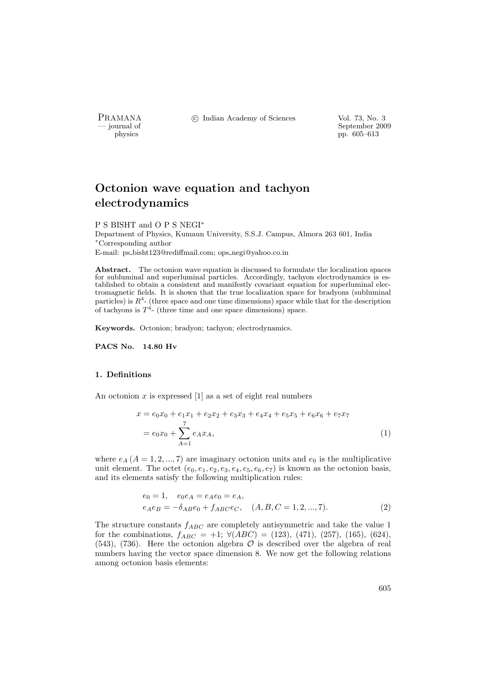PRAMANA <sup>C</sup> Indian Academy of Sciences Vol. 73, No. 3<br>
— iournal of September 200

position of the september 2009 physics of the September 2009 physics of the September 2009 physics pp. 605–613

# Octonion wave equation and tachyon electrodynamics

P S BISHT and O P S NEGI<sup>∗</sup>

Department of Physics, Kumaun University, S.S.J. Campus, Almora 263 601, India <sup>∗</sup>Corresponding author E-mail: ps bisht123@rediffmail.com; ops negi@yahoo.co.in

Abstract. The octonion wave equation is discussed to formulate the localization spaces for subluminal and superluminal particles. Accordingly, tachyon electrodynamics is established to obtain a consistent and manifestly covariant equation for superluminal electromagnetic fields. It is shown that the true localization space for bradyons (subluminal particles) is  $R^4$ - (three space and one time dimensions) space while that for the description of tachyons is  $T^4$ - (three time and one space dimensions) space.

Keywords. Octonion; bradyon; tachyon; electrodynamics.

PACS No. 14.80 Hv

#### 1. Definitions

An octonion  $x$  is expressed [1] as a set of eight real numbers

$$
x = e_0 x_0 + e_1 x_1 + e_2 x_2 + e_3 x_3 + e_4 x_4 + e_5 x_5 + e_6 x_6 + e_7 x_7
$$
  
=  $e_0 x_0 + \sum_{A=1}^{7} e_A x_A,$  (1)

where  $e_A$   $(A = 1, 2, ..., 7)$  are imaginary octonion units and  $e_0$  is the multiplicative unit element. The octet  $(e_0, e_1, e_2, e_3, e_4, e_5, e_6, e_7)$  is known as the octonion basis, and its elements satisfy the following multiplication rules:

$$
e_0 = 1, \quad e_0 e_A = e_A e_0 = e_A, \ne_A e_B = -\delta_{AB} e_0 + f_{ABC} e_C, \quad (A, B, C = 1, 2, ..., 7).
$$
\n(2)

The structure constants  $f_{ABC}$  are completely antisymmetric and take the value 1 for the combinations,  $f_{ABC} = +1$ ;  $\forall (ABC) = (123), (471), (257), (165), (624),$  $(543)$ ,  $(736)$ . Here the octonion algebra  $\mathcal O$  is described over the algebra of real numbers having the vector space dimension 8. We now get the following relations among octonion basis elements: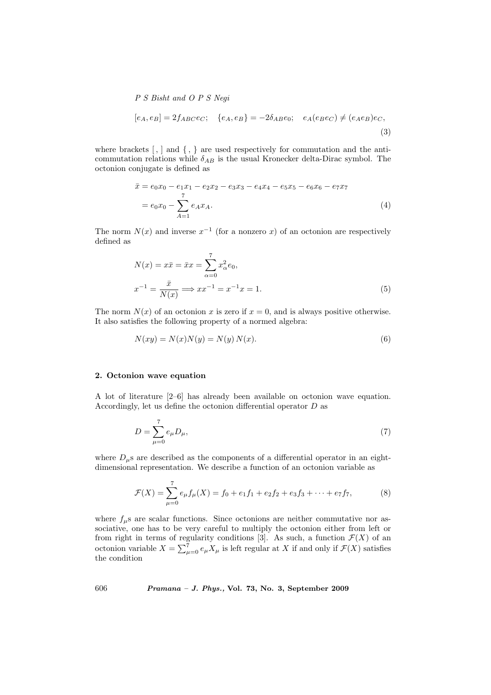$$
P S Bisht and O P S Negi
$$
  
\n
$$
[e_A, e_B] = 2f_{ABC}e_C; \quad \{e_A, e_B\} = -2\delta_{AB}e_0; \quad e_A(e_Be_C) \neq (e_Ae_B)e_C,
$$
\n(3)

where brackets  $[ , ]$  and  $\{ , \}$  are used respectively for commutation and the anticommutation relations while  $\delta_{AB}$  is the usual Kronecker delta-Dirac symbol. The octonion conjugate is defined as

$$
\bar{x} = e_0 x_0 - e_1 x_1 - e_2 x_2 - e_3 x_3 - e_4 x_4 - e_5 x_5 - e_6 x_6 - e_7 x_7
$$
  
=  $e_0 x_0 - \sum_{A=1}^{7} e_A x_A.$  (4)

The norm  $N(x)$  and inverse  $x^{-1}$  (for a nonzero x) of an octonion are respectively defined as

$$
N(x) = x\bar{x} = \bar{x}x = \sum_{\alpha=0}^{7} x_{\alpha}^{2}e_0,
$$
  

$$
x^{-1} = \frac{\bar{x}}{N(x)} \Longrightarrow xx^{-1} = x^{-1}x = 1.
$$
 (5)

The norm  $N(x)$  of an octonion x is zero if  $x = 0$ , and is always positive otherwise. It also satisfies the following property of a normed algebra:

$$
N(xy) = N(x)N(y) = N(y)N(x).
$$
\n(6)

## 2. Octonion wave equation

A lot of literature [2–6] has already been available on octonion wave equation. Accordingly, let us define the octonion differential operator D as

$$
D = \sum_{\mu=0}^{7} e_{\mu} D_{\mu}, \tag{7}
$$

where  $D_{\mu}$ s are described as the components of a differential operator in an eightdimensional representation. We describe a function of an octonion variable as

$$
\mathcal{F}(X) = \sum_{\mu=0}^{7} e_{\mu} f_{\mu}(X) = f_0 + e_1 f_1 + e_2 f_2 + e_3 f_3 + \dots + e_7 f_7, \tag{8}
$$

where  $f_{\mu}$ s are scalar functions. Since octonions are neither commutative nor associative, one has to be very careful to multiply the octonion either from left or from right in terms of regularity conditions [3]. As such, a function  $\mathcal{F}(X)$  of an octonion variable  $X = \sum_{\mu=0}^{7} e_{\mu} X_{\mu}$  is left regular at X if and only if  $\mathcal{F}(X)$  satisfies the condition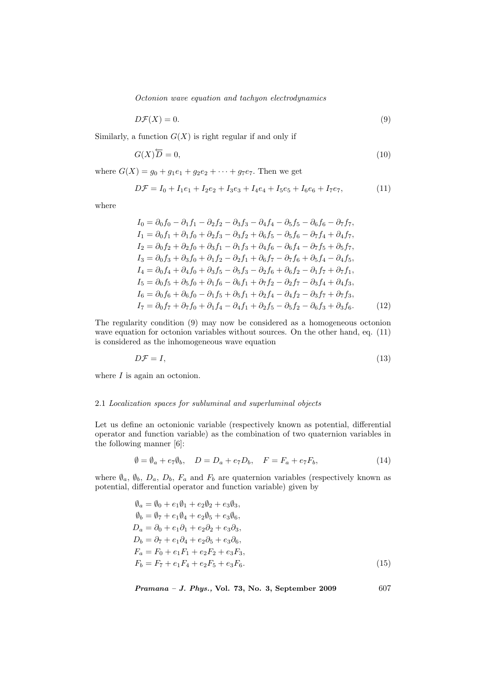Octonion wave equation and tachyon electrodynamics

$$
D\mathcal{F}(X) = 0.\tag{9}
$$

Similarly, a function  $G(X)$  is right regular if and only if

$$
G(X)\overleftarrow{D} = 0,\t\t(10)
$$

where  $G(X) = g_0 + g_1e_1 + g_2e_2 + \cdots + g_7e_7$ . Then we get

$$
D\mathcal{F} = I_0 + I_1e_1 + I_2e_2 + I_3e_3 + I_4e_4 + I_5e_5 + I_6e_6 + I_7e_7,
$$
\n(11)

where

$$
I_0 = \partial_0 f_0 - \partial_1 f_1 - \partial_2 f_2 - \partial_3 f_3 - \partial_4 f_4 - \partial_5 f_5 - \partial_6 f_6 - \partial_7 f_7,
$$
  
\n
$$
I_1 = \partial_0 f_1 + \partial_1 f_0 + \partial_2 f_3 - \partial_3 f_2 + \partial_6 f_5 - \partial_5 f_6 - \partial_7 f_4 + \partial_4 f_7,
$$
  
\n
$$
I_2 = \partial_0 f_2 + \partial_2 f_0 + \partial_3 f_1 - \partial_1 f_3 + \partial_4 f_6 - \partial_6 f_4 - \partial_7 f_5 + \partial_5 f_7,
$$
  
\n
$$
I_3 = \partial_0 f_3 + \partial_3 f_0 + \partial_1 f_2 - \partial_2 f_1 + \partial_6 f_7 - \partial_7 f_6 + \partial_5 f_4 - \partial_4 f_5,
$$
  
\n
$$
I_4 = \partial_0 f_4 + \partial_4 f_0 + \partial_3 f_5 - \partial_5 f_3 - \partial_2 f_6 + \partial_6 f_2 - \partial_1 f_7 + \partial_7 f_1,
$$
  
\n
$$
I_5 = \partial_0 f_5 + \partial_5 f_0 + \partial_1 f_6 - \partial_6 f_1 + \partial_7 f_2 - \partial_2 f_7 - \partial_3 f_4 + \partial_4 f_3,
$$
  
\n
$$
I_6 = \partial_0 f_6 + \partial_6 f_0 - \partial_1 f_5 + \partial_5 f_1 + \partial_2 f_4 - \partial_4 f_2 - \partial_3 f_7 + \partial_7 f_3,
$$
  
\n
$$
I_7 = \partial_0 f_7 + \partial_7 f_0 + \partial_1 f_4 - \partial_4 f_1 + \partial_2 f_5 - \partial_5 f_2 - \partial_6 f_3 + \partial_3 f_6.
$$
\n(12)

The regularity condition (9) may now be considered as a homogeneous octonion wave equation for octonion variables without sources. On the other hand, eq.  $(11)$ is considered as the inhomogeneous wave equation

$$
D\mathcal{F} = I,\tag{13}
$$

where  $I$  is again an octonion.

## 2.1 Localization spaces for subluminal and superluminal objects

Let us define an octonionic variable (respectively known as potential, differential operator and function variable) as the combination of two quaternion variables in the following manner [6]:

$$
\emptyset = \emptyset_a + e_7 \emptyset_b, \quad D = D_a + e_7 D_b, \quad F = F_a + e_7 F_b,\tag{14}
$$

where  $\emptyset_a$ ,  $\emptyset_b$ ,  $D_a$ ,  $D_b$ ,  $F_a$  and  $F_b$  are quaternion variables (respectively known as potential, differential operator and function variable) given by

$$
\vartheta_a = \vartheta_0 + e_1 \vartheta_1 + e_2 \vartheta_2 + e_3 \vartheta_3,\n\vartheta_b = \vartheta_7 + e_1 \vartheta_4 + e_2 \vartheta_5 + e_3 \vartheta_6,\nD_a = \partial_0 + e_1 \partial_1 + e_2 \partial_2 + e_3 \partial_3,\nD_b = \partial_7 + e_1 \partial_4 + e_2 \partial_5 + e_3 \partial_6,\nF_a = F_0 + e_1 F_1 + e_2 F_2 + e_3 F_3,\nF_b = F_7 + e_1 F_4 + e_2 F_5 + e_3 F_6.
$$
\n(15)

$$
Pramana - J. Phys., Vol. 73, No. 3, September 2009
$$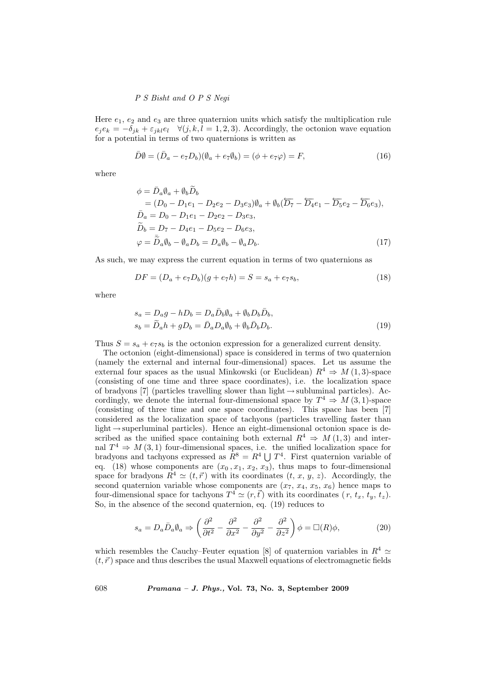# P S Bisht and O P S Negi

Here  $e_1, e_2$  and  $e_3$  are three quaternion units which satisfy the multiplication rule  $e_i e_k = -\delta_{jk} + \varepsilon_{jkl} e_l \quad \forall (j, k, l = 1, 2, 3).$  Accordingly, the octonion wave equation for a potential in terms of two quaternions is written as

$$
\bar{D}\emptyset = (\bar{D}_a - e_7 D_b)(\emptyset_a + e_7 \emptyset_b) = (\phi + e_7 \varphi) = F,\tag{16}
$$

where

$$
\phi = \bar{D}_a \emptyset_a + \emptyset_b \tilde{D}_b \n= (D_0 - D_1 e_1 - D_2 e_2 - D_3 e_3) \emptyset_a + \emptyset_b (\overleftarrow{D_7} - \overleftarrow{D_4} e_1 - \overleftarrow{D_5} e_2 - \overleftarrow{D_6} e_3), \n\bar{D}_a = D_0 - D_1 e_1 - D_2 e_2 - D_3 e_3, \n\tilde{D}_b = D_7 - D_4 e_1 - D_5 e_2 - D_6 e_3, \n\varphi = \overline{\tilde{D}}_a \emptyset_b - \emptyset_a D_b = D_a \emptyset_b - \emptyset_a D_b.
$$
\n(17)

As such, we may express the current equation in terms of two quaternions as

$$
DF = (D_a + e_7 D_b)(g + e_7 h) = S = s_a + e_7 s_b,
$$
\n(18)

where

$$
s_a = D_a g - h D_b = D_a \bar{D}_b \emptyset_a + \emptyset_b D_b \bar{D}_b,
$$
  
\n
$$
s_b = \tilde{D}_a h + g D_b = \bar{D}_a D_a \emptyset_b + \emptyset_b \bar{D}_b D_b.
$$
\n(19)

Thus  $S = s_a + e_7s_b$  is the octonion expression for a generalized current density.

The octonion (eight-dimensional) space is considered in terms of two quaternion (namely the external and internal four-dimensional) spaces. Let us assume the external four spaces as the usual Minkowski (or Euclidean)  $R^4 \Rightarrow M(1,3)$ -space (consisting of one time and three space coordinates), i.e. the localization space of bradyons [7] (particles travelling slower than light  $\rightarrow$  subluminal particles). Accordingly, we denote the internal four-dimensional space by  $T^4 \Rightarrow M(3,1)$ -space (consisting of three time and one space coordinates). This space has been [7] considered as the localization space of tachyons (particles travelling faster than light  $\rightarrow$  superluminal particles). Hence an eight-dimensional octonion space is described as the unified space containing both external  $R^4 \Rightarrow M(1,3)$  and internal  $T^4 \Rightarrow M(3,1)$  four-dimensional spaces, i.e. the unified localization space for nal  $I^* \Rightarrow M(\beta, I)$  four-dimensional spaces, i.e. the unified localization space for<br>bradyons and tachyons expressed as  $R^8 = R^4 \cup T^4$ . First quaternion variable of eq. (18) whose components are  $(x_0, x_1, x_2, x_3)$ , thus maps to four-dimensional space for bradyons  $\mathbb{R}^4 \simeq (t, \vec{r})$  with its coordinates  $(t, x, y, z)$ . Accordingly, the second quaternion variable whose components are  $(x_7, x_4, x_5, x_6)$  hence maps to four-dimensional space for tachyons  $T^4 \simeq (r, \vec{t})$  with its coordinates  $(r, t_x, t_y, t_z)$ . So, in the absence of the second quaternion, eq. (19) reduces to

$$
s_a = D_a \bar{D}_a \emptyset_a \Rightarrow \left(\frac{\partial^2}{\partial t^2} - \frac{\partial^2}{\partial x^2} - \frac{\partial^2}{\partial y^2} - \frac{\partial^2}{\partial z^2}\right) \phi = \Box(R)\phi,
$$
 (20)

which resembles the Cauchy–Feuter equation [8] of quaternion variables in  $R^4 \simeq$  $(t, \vec{r})$  space and thus describes the usual Maxwell equations of electromagnetic fields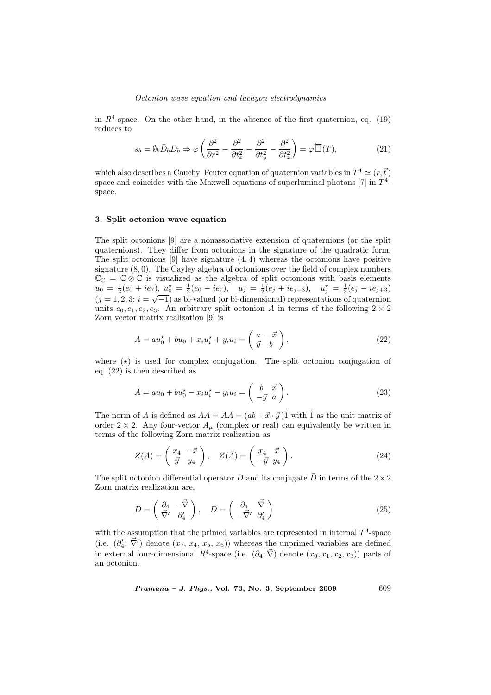#### Octonion wave equation and tachyon electrodynamics

in  $R^4$ -space. On the other hand, in the absence of the first quaternion, eq. (19) reduces to

$$
s_b = \emptyset_b \bar{D}_b D_b \Rightarrow \varphi \left( \frac{\partial^2}{\partial r^2} - \frac{\partial^2}{\partial t_x^2} - \frac{\partial^2}{\partial t_y^2} - \frac{\partial^2}{\partial t_z^2} \right) = \varphi \overleftarrow{\Box}(T), \tag{21}
$$

which also describes a Cauchy–Feuter equation of quaternion variables in  $T^4 \simeq (r, \vec{t})$ space and coincides with the Maxwell equations of superluminal photons  $[7]$  in  $T^4$ space.

#### 3. Split octonion wave equation

The split octonions [9] are a nonassociative extension of quaternions (or the split quaternions). They differ from octonions in the signature of the quadratic form. The split octonions  $[9]$  have signature  $(4, 4)$  whereas the octonions have positive signature (8, 0). The Cayley algebra of octonions over the field of complex numbers  $\mathbb{C}_{\mathbb{C}} = \mathbb{C} \otimes \mathbb{C}$  is visualized as the algebra of split octonions with basis elements  $u_0 = \frac{1}{2}(e_0 + ie_7), u_0^* = \frac{1}{2}(e_0 - ie_7), u_j = \frac{1}{2}(e_j + ie_{j+3}), u_j^* = \frac{1}{2}(e_j - ie_{j+3})$  $(j = 1, 2, 3; i = \sqrt{-1}$  as bi-valued (or bi-dimensional) representations of quaternion units  $e_0, e_1, e_2, e_3$ . An arbitrary split octonion A in terms of the following  $2 \times 2$ Zorn vector matrix realization [9] is

$$
A = au_0^* + bu_0 + x_i u_i^* + y_i u_i = \begin{pmatrix} a & -\vec{x} \\ \vec{y} & b \end{pmatrix},
$$
\n(22)

where  $(\star)$  is used for complex conjugation. The split octonion conjugation of eq. (22) is then described as

$$
\bar{A} = au_0 + bu_0^{\star} - x_i u_i^{\star} - y_i u_i = \begin{pmatrix} b & \vec{x} \\ -\vec{y} & a \end{pmatrix}.
$$
 (23)

The norm of A is defined as  $\overline{A}A = A\overline{A} = (ab + \vec{x} \cdot \vec{y})\hat{1}$  with  $\hat{1}$  as the unit matrix of order 2 × 2. Any four-vector  $A_\mu$  (complex or real) can equivalently be written in terms of the following Zorn matrix realization as

$$
Z(A) = \begin{pmatrix} x_4 & -\vec{x} \\ \vec{y} & y_4 \end{pmatrix}, \quad Z(\vec{A}) = \begin{pmatrix} x_4 & \vec{x} \\ -\vec{y} & y_4 \end{pmatrix}.
$$
 (24)

The split octonion differential operator D and its conjugate  $\bar{D}$  in terms of the  $2\times 2$ Zorn matrix realization are,

$$
D = \begin{pmatrix} \partial_4 & -\vec{\nabla} \\ \vec{\nabla}' & \partial'_4 \end{pmatrix}, \quad \bar{D} = \begin{pmatrix} \partial_4 & \vec{\nabla} \\ -\vec{\nabla}' & \partial'_4 \end{pmatrix}
$$
(25)

with the assumption that the primed variables are represented in internal  $T^4$ -space (i.e.  $(\partial_4; \vec{\nabla}')$  denote  $(x_7, x_4, x_5, x_6)$ ) whereas the unprimed variables are defined in external four-dimensional  $R^4$ -space (i.e.  $(\partial_4; \vec{\nabla})$  denote  $(x_0, x_1, x_2, x_3)$ ) parts of an octonion.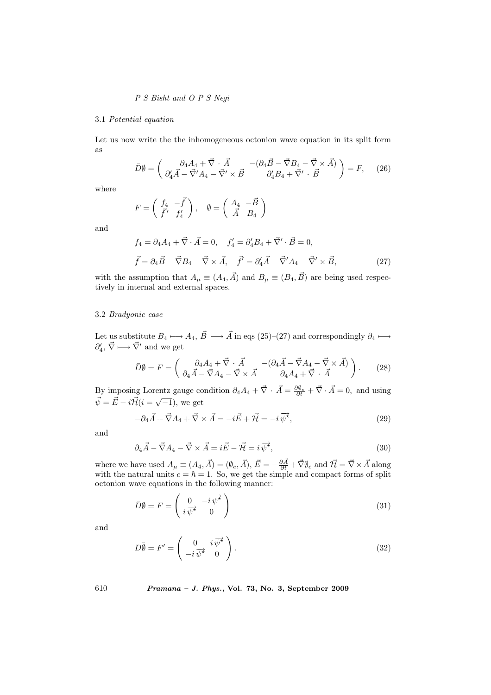# P S Bisht and O P S Negi

#### 3.1 Potential equation

Let us now write the the inhomogeneous octonion wave equation in its split form as

$$
\bar{D}\emptyset = \begin{pmatrix} \partial_4 A_4 + \vec{\nabla} \cdot \vec{A} & -(\partial_4 \vec{B} - \vec{\nabla} B_4 - \vec{\nabla} \times \vec{A}) \\ \partial_4' \vec{A} - \vec{\nabla}' A_4 - \vec{\nabla}' \times \vec{B} & \partial_4' B_4 + \vec{\nabla}' \cdot \vec{B} \end{pmatrix} = F, \quad (26)
$$

where

$$
F=\left(\begin{array}{cc} f_4 & -\vec{f} \\ \vec{f}' & f'_4 \end{array}\right), \quad \emptyset=\left(\begin{array}{cc} A_4 & -\vec{B} \\ \vec{A} & B_4 \end{array}\right)
$$

and

$$
f_4 = \partial_4 A_4 + \vec{\nabla} \cdot \vec{A} = 0, \quad f'_4 = \partial'_4 B_4 + \vec{\nabla}' \cdot \vec{B} = 0,
$$
  

$$
\vec{f} = \partial_4 \vec{B} - \vec{\nabla} B_4 - \vec{\nabla} \times \vec{A}, \quad \vec{f}' = \partial'_4 \vec{A} - \vec{\nabla}' A_4 - \vec{\nabla}' \times \vec{B},
$$
 (27)

with the assumption that  $A_{\mu} \equiv (A_4, \vec{A})$  and  $B_{\mu} \equiv (B_4, \vec{B})$  are being used respectively in internal and external spaces.

#### 3.2 Bradyonic case

Let us substitute  $B_4 \longmapsto A_4, \vec{B} \longmapsto \vec{A}$  in eqs (25)–(27) and correspondingly  $\partial_4 \longmapsto$  $\partial_4', \vec{\nabla} \longmapsto \vec{\nabla}'$  and we get

$$
\bar{D}\emptyset = F = \begin{pmatrix} \partial_4 A_4 + \vec{\nabla} \cdot \vec{A} & -(\partial_4 \vec{A} - \vec{\nabla} A_4 - \vec{\nabla} \times \vec{A}) \\ \partial_4 \vec{A} - \vec{\nabla} A_4 - \vec{\nabla} \times \vec{A} & \partial_4 A_4 + \vec{\nabla} \cdot \vec{A} \end{pmatrix}.
$$
 (28)

By imposing Lorentz gauge condition  $\partial_4 A_4 + \vec{\nabla} \cdot \vec{A} = \frac{\partial \theta_e}{\partial t} + \vec{\nabla} \cdot \vec{A} = 0$ , and using  $\vec{\psi} = \vec{E} - i \vec{\mathcal{H}} (i = \sqrt{-1}),$  we get

$$
-\partial_4 \vec{A} + \vec{\nabla} A_4 + \vec{\nabla} \times \vec{A} = -i\vec{E} + \vec{\mathcal{H}} = -i\,\vec{\psi}^{\star},\tag{29}
$$

and

$$
\partial_4 \vec{A} - \vec{\nabla} A_4 - \vec{\nabla} \times \vec{A} = i \vec{E} - \vec{\mathcal{H}} = i \,\overline{\psi^*},\tag{30}
$$

where we have used  $A_{\mu} \equiv (A_4, \vec{A}) = (\emptyset_e, \vec{A}), \vec{E} = -\frac{\partial \vec{A}}{\partial t} + \vec{\nabla} \emptyset_e$  and  $\vec{\mathcal{H}} = \vec{\nabla} \times \vec{A}$  along with the natural units  $c = \hbar = 1$ . So, we get the simple and compact forms of split octonion wave equations in the following manner:

$$
\bar{D}\emptyset = F = \begin{pmatrix} 0 & -i\,\overrightarrow{\psi^*} \\ i\,\overrightarrow{\psi^*} & 0 \end{pmatrix} \tag{31}
$$

and

$$
D\overline{\emptyset} = F' = \begin{pmatrix} 0 & i\overrightarrow{\psi^*} \\ -i\overrightarrow{\psi^*} & 0 \end{pmatrix}.
$$
 (32)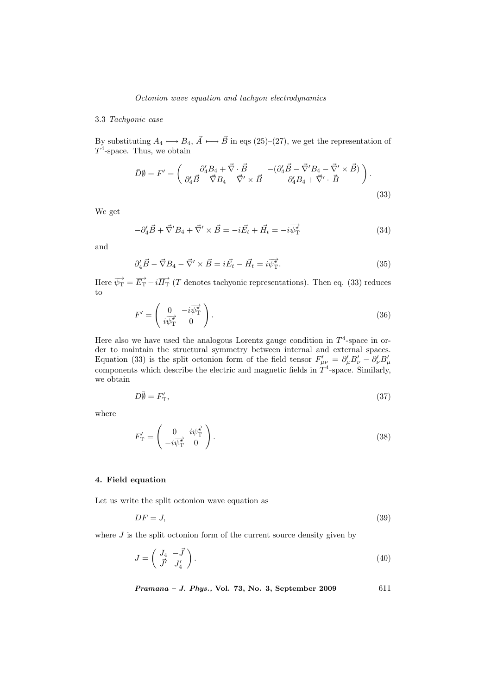## Octonion wave equation and tachyon electrodynamics

#### 3.3 Tachyonic case

By substituting  $A_4 \longmapsto B_4$ ,  $\vec{A} \longmapsto \vec{B}$  in eqs (25)–(27), we get the representation of  $T^4$ -space. Thus, we obtain

$$
\bar{D}\emptyset = F' = \begin{pmatrix} \partial'_4 B_4 + \vec{\nabla} \cdot \vec{B} & -(\partial'_4 \vec{B} - \vec{\nabla}' B_4 - \vec{\nabla}' \times \vec{B}) \\ \partial'_4 \vec{B} - \vec{\nabla} B_4 - \vec{\nabla}' \times \vec{B} & \partial'_4 B_4 + \vec{\nabla}' \cdot \vec{B} \end{pmatrix}.
$$
\n(33)

We get

$$
-\partial_4' \vec{B} + \vec{\nabla}' B_4 + \vec{\nabla}' \times \vec{B} = -i\vec{E}_t + \vec{H}_t = -i\vec{\psi}_T^{\vec{\chi}} \tag{34}
$$

and

$$
\partial_4' \vec{B} - \vec{\nabla} B_4 - \vec{\nabla}' \times \vec{B} = i \vec{E_t} - \vec{H_t} = i \vec{\psi_{\mathrm{T}}^*}.
$$
\n(35)

Here  $\overrightarrow{\psi_{\rm T}} = \overrightarrow{E_{\rm T}} - i \overrightarrow{H_{\rm T}}$  (*T* denotes tachyonic representations). Then eq. (33) reduces to

$$
F' = \begin{pmatrix} 0 & -i\overrightarrow{\psi_{\mathrm{T}}^*} \\ i\overrightarrow{\psi_{\mathrm{T}}^*} & 0 \end{pmatrix}.
$$
 (36)

Here also we have used the analogous Lorentz gauge condition in  $T<sup>4</sup>$ -space in order to maintain the structural symmetry between internal and external spaces. Equation (33) is the split octonion form of the field tensor  $F'_{\mu\nu} = \partial'_{\mu}B'_{\nu} - \partial'_{\nu}B'_{\mu}$ components which describe the electric and magnetic fields in  $T<sup>4</sup>$ -space. Similarly, we obtain

$$
D\overline{\emptyset} = F'_{\mathcal{T}},\tag{37}
$$

where

$$
F'_{\mathcal{T}} = \begin{pmatrix} 0 & i\overrightarrow{\psi_{\mathcal{T}}^*} \\ -i\overrightarrow{\psi_{\mathcal{T}}^*} & 0 \end{pmatrix}.
$$
 (38)

# 4. Field equation

Let us write the split octonion wave equation as

$$
DF = J,\tag{39}
$$

where  $J$  is the split octonion form of the current source density given by

$$
J = \begin{pmatrix} J_4 & -\vec{J} \\ \vec{J'} & J'_4 \end{pmatrix} . \tag{40}
$$

$$
Pramana - J. Phys., Vol. 73, No. 3, September 2009 \qquad \qquad 611
$$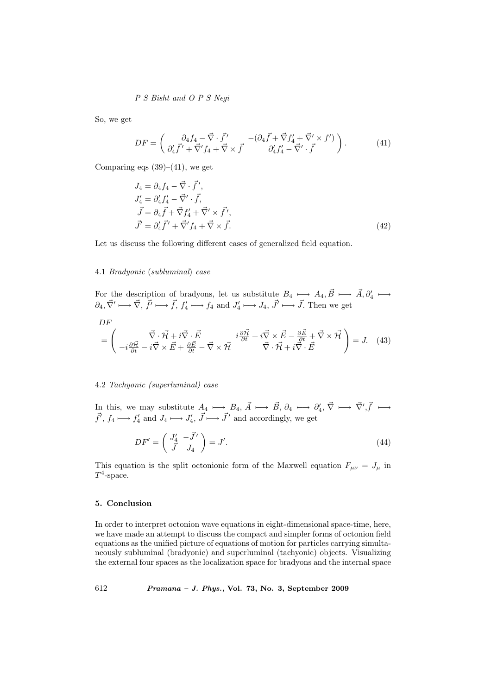# P S Bisht and O P S Negi

So, we get

$$
DF = \begin{pmatrix} \partial_4 f_4 - \vec{\nabla} \cdot \vec{f}' & -(\partial_4 \vec{f} + \vec{\nabla} f'_4 + \vec{\nabla}' \times f') \\ \partial'_4 \vec{f}' + \vec{\nabla}' f_4 + \vec{\nabla} \times \vec{f} & \partial'_4 f'_4 - \vec{\nabla}' \cdot \vec{f} \end{pmatrix}.
$$
 (41)

Comparing eqs  $(39)–(41)$ , we get

$$
J_4 = \partial_4 f_4 - \vec{\nabla} \cdot \vec{f}',
$$
  
\n
$$
J'_4 = \partial'_4 f'_4 - \vec{\nabla}' \cdot \vec{f},
$$
  
\n
$$
\vec{J} = \partial_4 \vec{f} + \vec{\nabla} f'_4 + \vec{\nabla}' \times \vec{f}',
$$
  
\n
$$
\vec{J}' = \partial'_4 \vec{f}' + \vec{\nabla}' f_4 + \vec{\nabla} \times \vec{f}.
$$
\n(42)

Let us discuss the following different cases of generalized field equation.

#### 4.1 Bradyonic (subluminal) case

For the description of bradyons, let us substitute  $B_4 \longmapsto A_4, \vec{B} \longmapsto \vec{A}, \partial_4' \longmapsto$  $\partial_4, \vec{\nabla}' \longmapsto \vec{\nabla}, \vec{f}' \longmapsto \vec{f}, f'_4 \longmapsto f_4 \text{ and } J'_4 \longmapsto J_4, \vec{J}' \longmapsto \vec{J}.$  Then we get

$$
D F
$$

$$
= \begin{pmatrix} \vec{\nabla} \cdot \vec{\mathcal{H}} + i \vec{\nabla} \cdot \vec{E} & i \frac{\partial \vec{\mathcal{H}}}{\partial t} + i \vec{\nabla} \times \vec{E} - \frac{\partial \vec{E}}{\partial t} + \vec{\nabla} \times \vec{\mathcal{H}} \\ -i \frac{\partial \vec{\mathcal{H}}}{\partial t} - i \vec{\nabla} \times \vec{E} + \frac{\partial \vec{E}}{\partial t} - \vec{\nabla} \times \vec{\mathcal{H}} & \vec{\nabla} \cdot \vec{\mathcal{H}} + i \vec{\nabla} \cdot \vec{E} \end{pmatrix} = J. \quad (43)
$$

## 4.2 Tachyonic (superluminal) case

In this, we may substitute  $A_4 \longmapsto B_4$ ,  $\vec{A} \longmapsto \vec{B}$ ,  $\partial_4 \longmapsto \partial'_4$ ,  $\vec{\nabla} \longmapsto \vec{\nabla}', \vec{f} \longmapsto$  $\vec{f}'$ ,  $f_4 \longmapsto f'_4$  and  $J_4 \longmapsto J'_4$ ,  $\vec{J} \longmapsto \vec{J}'$  and accordingly, we get

$$
DF' = \begin{pmatrix} J'_4 & -\vec{J}' \\ \vec{J} & J_4 \end{pmatrix} = J'. \tag{44}
$$

This equation is the split octonionic form of the Maxwell equation  $F_{\mu\nu} = J_{\mu}$  in  $T^4$ -space.

# 5. Conclusion

In order to interpret octonion wave equations in eight-dimensional space-time, here, we have made an attempt to discuss the compact and simpler forms of octonion field equations as the unified picture of equations of motion for particles carrying simultaneously subluminal (bradyonic) and superluminal (tachyonic) objects. Visualizing the external four spaces as the localization space for bradyons and the internal space